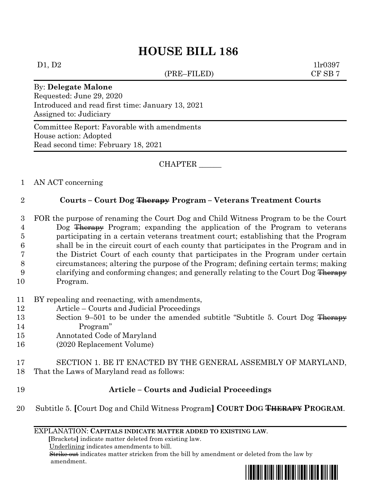## **HOUSE BILL 186**

(PRE–FILED) CF SB 7

 $D1, D2$  1lr0397

By: **Delegate Malone** Requested: June 29, 2020 Introduced and read first time: January 13, 2021 Assigned to: Judiciary

Committee Report: Favorable with amendments House action: Adopted Read second time: February 18, 2021

CHAPTER \_\_\_\_\_\_

1 AN ACT concerning

## 2 **Courts – Court Dog Therapy Program – Veterans Treatment Courts**

- 3 FOR the purpose of renaming the Court Dog and Child Witness Program to be the Court 4 Dog Therapy Program; expanding the application of the Program to veterans 5 participating in a certain veterans treatment court; establishing that the Program 6 shall be in the circuit court of each county that participates in the Program and in 7 the District Court of each county that participates in the Program under certain 8 circumstances; altering the purpose of the Program; defining certain terms; making 9 clarifying and conforming changes; and generally relating to the Court Dog Therapy 10 Program.
- 11 BY repealing and reenacting, with amendments,
- 12 Article Courts and Judicial Proceedings
- 13 Section 9–501 to be under the amended subtitle "Subtitle 5. Court Dog Therapy 14 Program"
- 15 Annotated Code of Maryland
- 16 (2020 Replacement Volume)
- 17 SECTION 1. BE IT ENACTED BY THE GENERAL ASSEMBLY OF MARYLAND, 18 That the Laws of Maryland read as follows:
- 19 **Article – Courts and Judicial Proceedings**
- 20 Subtitle 5. **[**Court Dog and Child Witness Program**] COURT DOG THERAPY PROGRAM**.

## EXPLANATION: **CAPITALS INDICATE MATTER ADDED TO EXISTING LAW**.

 **[**Brackets**]** indicate matter deleted from existing law.

Underlining indicates amendments to bill.

 Strike out indicates matter stricken from the bill by amendment or deleted from the law by amendment.

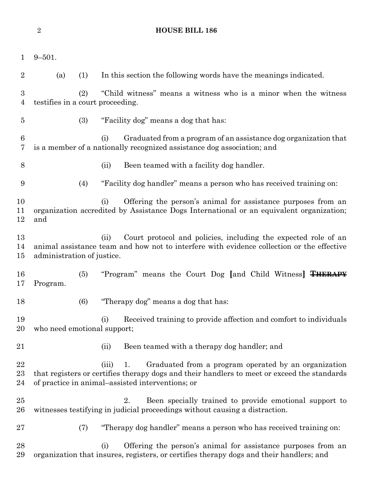|                     | $\overline{2}$              |     |                                                                                                     | <b>HOUSE BILL 186</b>                                                                                                                                                                                         |  |
|---------------------|-----------------------------|-----|-----------------------------------------------------------------------------------------------------|---------------------------------------------------------------------------------------------------------------------------------------------------------------------------------------------------------------|--|
| $\mathbf 1$         | $9 - 501.$                  |     |                                                                                                     |                                                                                                                                                                                                               |  |
| $\overline{2}$      | (a)                         | (1) |                                                                                                     | In this section the following words have the meanings indicated.                                                                                                                                              |  |
| 3<br>$\overline{4}$ |                             | (2) | "Child witness" means a witness who is a minor when the witness<br>testifies in a court proceeding. |                                                                                                                                                                                                               |  |
| $\overline{5}$      |                             | (3) |                                                                                                     | "Facility dog" means a dog that has:                                                                                                                                                                          |  |
| 6<br>7              |                             |     | (i)                                                                                                 | Graduated from a program of an assistance dog organization that<br>is a member of a nationally recognized assistance dog association; and                                                                     |  |
| 8                   |                             |     | (ii)                                                                                                | Been teamed with a facility dog handler.                                                                                                                                                                      |  |
| 9                   |                             | (4) |                                                                                                     | "Facility dog handler" means a person who has received training on:                                                                                                                                           |  |
| 10<br>11<br>12      | and                         |     | (i)                                                                                                 | Offering the person's animal for assistance purposes from an<br>organization accredited by Assistance Dogs International or an equivalent organization;                                                       |  |
| 13<br>14<br>15      | administration of justice.  |     | (ii)                                                                                                | Court protocol and policies, including the expected role of an<br>animal assistance team and how not to interfere with evidence collection or the effective                                                   |  |
| 16<br>17            | Program.                    | (5) |                                                                                                     | "Program" means the Court Dog [and Child Witness] THERAPY                                                                                                                                                     |  |
| 18                  |                             | (6) |                                                                                                     | "Therapy dog" means a dog that has:                                                                                                                                                                           |  |
| 19<br>20            | who need emotional support; |     | (i)                                                                                                 | Received training to provide affection and comfort to individuals                                                                                                                                             |  |
| 21                  |                             |     | (ii)                                                                                                | Been teamed with a therapy dog handler; and                                                                                                                                                                   |  |
| 22<br>$^{23}$<br>24 |                             |     | (iii)                                                                                               | Graduated from a program operated by an organization<br>1.<br>that registers or certifies therapy dogs and their handlers to meet or exceed the standards<br>of practice in animal–assisted interventions; or |  |
| 25<br>26            |                             |     |                                                                                                     | 2.<br>Been specially trained to provide emotional support to<br>witnesses testifying in judicial proceedings without causing a distraction.                                                                   |  |
| $27\,$              |                             | (7) |                                                                                                     | "Therapy dog handler" means a person who has received training on:                                                                                                                                            |  |
| 28<br>29            |                             |     | (i)                                                                                                 | Offering the person's animal for assistance purposes from an<br>organization that insures, registers, or certifies therapy dogs and their handlers; and                                                       |  |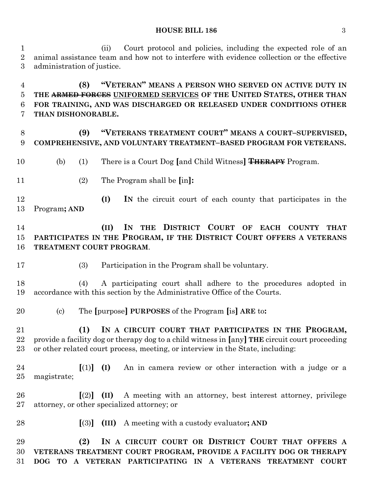(ii) Court protocol and policies, including the expected role of an animal assistance team and how not to interfere with evidence collection or the effective administration of justice.

 **(8) "VETERAN" MEANS A PERSON WHO SERVED ON ACTIVE DUTY IN THE ARMED FORCES UNIFORMED SERVICES OF THE UNITED STATES, OTHER THAN FOR TRAINING, AND WAS DISCHARGED OR RELEASED UNDER CONDITIONS OTHER THAN DISHONORABLE.**

 **(9) "VETERANS TREATMENT COURT" MEANS A COURT–SUPERVISED, COMPREHENSIVE, AND VOLUNTARY TREATMENT–BASED PROGRAM FOR VETERANS.**

- (b) (1) There is a Court Dog **[**and Child Witness**] THERAPY** Program.
- (2) The Program shall be **[**in**]:**

 **(I) IN** the circuit court of each county that participates in the Program**; AND**

 **(II) IN THE DISTRICT COURT OF EACH COUNTY THAT PARTICIPATES IN THE PROGRAM, IF THE DISTRICT COURT OFFERS A VETERANS TREATMENT COURT PROGRAM**.

(3) Participation in the Program shall be voluntary.

 (4) A participating court shall adhere to the procedures adopted in accordance with this section by the Administrative Office of the Courts.

(c) The **[**purpose**] PURPOSES** of the Program **[**is**] ARE** to**:**

 **(1) IN A CIRCUIT COURT THAT PARTICIPATES IN THE PROGRAM,** provide a facility dog or therapy dog to a child witness in **[**any**] THE** circuit court proceeding or other related court process, meeting, or interview in the State, including:

 **[**(1)**] (I)** An in camera review or other interaction with a judge or a magistrate;

 **[**(2)**] (II)** A meeting with an attorney, best interest attorney, privilege attorney, or other specialized attorney; or

- 
- **[**(3)**] (III)** A meeting with a custody evaluator**; AND**

 **(2) IN A CIRCUIT COURT OR DISTRICT COURT THAT OFFERS A VETERANS TREATMENT COURT PROGRAM, PROVIDE A FACILITY DOG OR THERAPY DOG TO A VETERAN PARTICIPATING IN A VETERANS TREATMENT COURT**